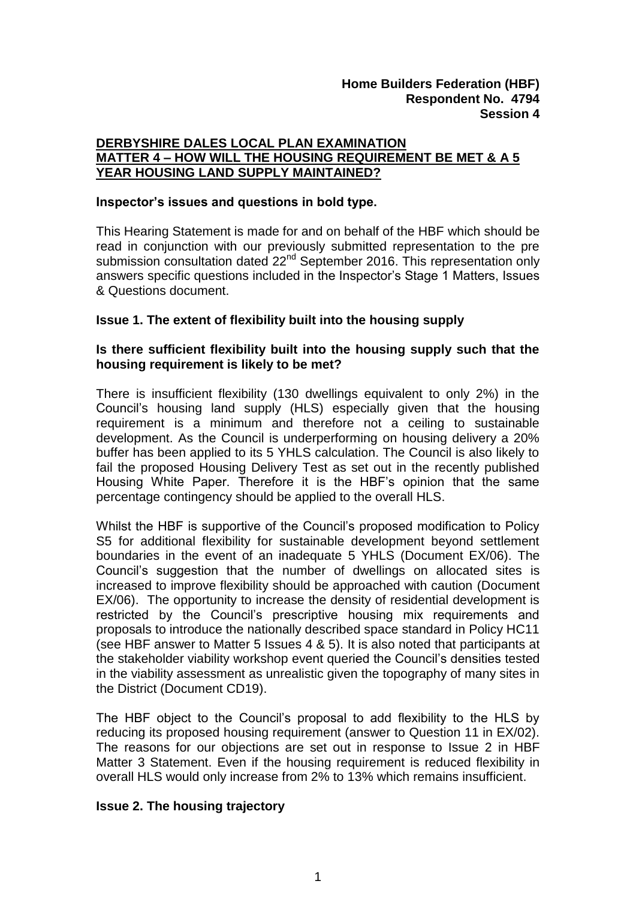# **DERBYSHIRE DALES LOCAL PLAN EXAMINATION MATTER 4 – HOW WILL THE HOUSING REQUIREMENT BE MET & A 5 YEAR HOUSING LAND SUPPLY MAINTAINED?**

#### **Inspector's issues and questions in bold type.**

This Hearing Statement is made for and on behalf of the HBF which should be read in conjunction with our previously submitted representation to the pre submission consultation dated 22<sup>nd</sup> September 2016. This representation only answers specific questions included in the Inspector's Stage 1 Matters, Issues & Questions document.

## **Issue 1. The extent of flexibility built into the housing supply**

## **Is there sufficient flexibility built into the housing supply such that the housing requirement is likely to be met?**

There is insufficient flexibility (130 dwellings equivalent to only 2%) in the Council's housing land supply (HLS) especially given that the housing requirement is a minimum and therefore not a ceiling to sustainable development. As the Council is underperforming on housing delivery a 20% buffer has been applied to its 5 YHLS calculation. The Council is also likely to fail the proposed Housing Delivery Test as set out in the recently published Housing White Paper. Therefore it is the HBF's opinion that the same percentage contingency should be applied to the overall HLS.

Whilst the HBF is supportive of the Council's proposed modification to Policy S5 for additional flexibility for sustainable development beyond settlement boundaries in the event of an inadequate 5 YHLS (Document EX/06). The Council's suggestion that the number of dwellings on allocated sites is increased to improve flexibility should be approached with caution (Document EX/06). The opportunity to increase the density of residential development is restricted by the Council's prescriptive housing mix requirements and proposals to introduce the nationally described space standard in Policy HC11 (see HBF answer to Matter 5 Issues 4 & 5). It is also noted that participants at the stakeholder viability workshop event queried the Council's densities tested in the viability assessment as unrealistic given the topography of many sites in the District (Document CD19).

The HBF object to the Council's proposal to add flexibility to the HLS by reducing its proposed housing requirement (answer to Question 11 in EX/02). The reasons for our objections are set out in response to Issue 2 in HBF Matter 3 Statement. Even if the housing requirement is reduced flexibility in overall HLS would only increase from 2% to 13% which remains insufficient.

#### **Issue 2. The housing trajectory**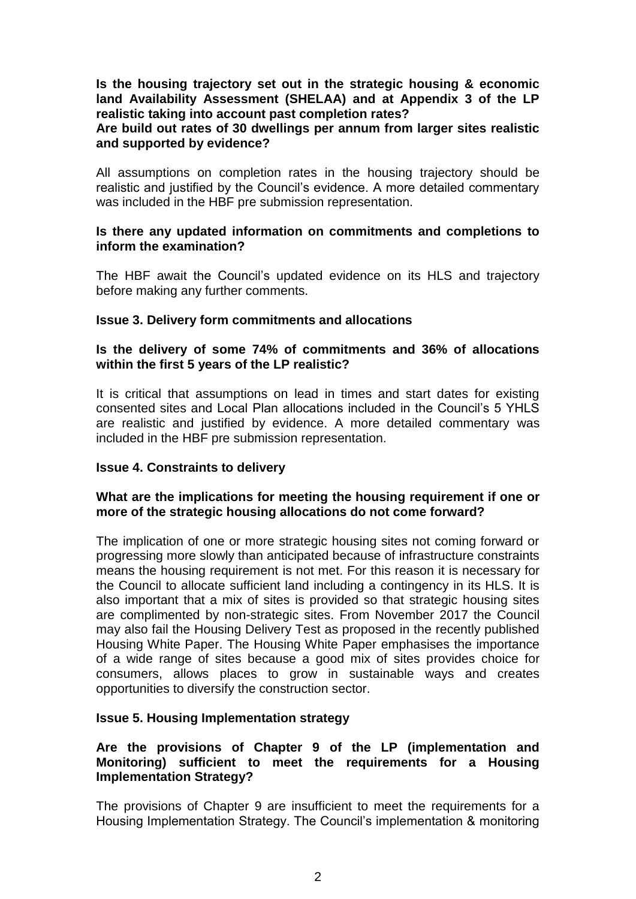#### **Is the housing trajectory set out in the strategic housing & economic land Availability Assessment (SHELAA) and at Appendix 3 of the LP realistic taking into account past completion rates?**

#### **Are build out rates of 30 dwellings per annum from larger sites realistic and supported by evidence?**

All assumptions on completion rates in the housing trajectory should be realistic and justified by the Council's evidence. A more detailed commentary was included in the HBF pre submission representation.

#### **Is there any updated information on commitments and completions to inform the examination?**

The HBF await the Council's updated evidence on its HLS and trajectory before making any further comments.

## **Issue 3. Delivery form commitments and allocations**

## **Is the delivery of some 74% of commitments and 36% of allocations within the first 5 years of the LP realistic?**

It is critical that assumptions on lead in times and start dates for existing consented sites and Local Plan allocations included in the Council's 5 YHLS are realistic and justified by evidence. A more detailed commentary was included in the HBF pre submission representation.

## **Issue 4. Constraints to delivery**

## **What are the implications for meeting the housing requirement if one or more of the strategic housing allocations do not come forward?**

The implication of one or more strategic housing sites not coming forward or progressing more slowly than anticipated because of infrastructure constraints means the housing requirement is not met. For this reason it is necessary for the Council to allocate sufficient land including a contingency in its HLS. It is also important that a mix of sites is provided so that strategic housing sites are complimented by non-strategic sites. From November 2017 the Council may also fail the Housing Delivery Test as proposed in the recently published Housing White Paper. The Housing White Paper emphasises the importance of a wide range of sites because a good mix of sites provides choice for consumers, allows places to grow in sustainable ways and creates opportunities to diversify the construction sector.

## **Issue 5. Housing Implementation strategy**

## **Are the provisions of Chapter 9 of the LP (implementation and Monitoring) sufficient to meet the requirements for a Housing Implementation Strategy?**

The provisions of Chapter 9 are insufficient to meet the requirements for a Housing Implementation Strategy. The Council's implementation & monitoring